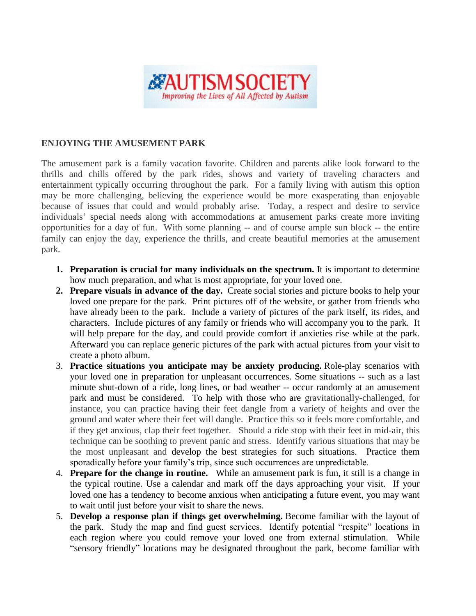

## **ENJOYING THE AMUSEMENT PARK**

The amusement park is a family vacation favorite. Children and parents alike look forward to the thrills and chills offered by the park rides, shows and variety of traveling characters and entertainment typically occurring throughout the park. For a family living with autism this option may be more challenging, believing the experience would be more exasperating than enjoyable because of issues that could and would probably arise. Today, a respect and desire to service individuals' special needs along with accommodations at amusement parks create more inviting opportunities for a day of fun. With some planning -- and of course ample sun block -- the entire family can enjoy the day, experience the thrills, and create beautiful memories at the amusement park.

- **1. Preparation is crucial for many individuals on the spectrum.** It is important to determine how much preparation, and what is most appropriate, for your loved one.
- **2. Prepare visuals in advance of the day.** Create social stories and picture books to help your loved one prepare for the park. Print pictures off of the website, or gather from friends who have already been to the park. Include a variety of pictures of the park itself, its rides, and characters. Include pictures of any family or friends who will accompany you to the park. It will help prepare for the day, and could provide comfort if anxieties rise while at the park. Afterward you can replace generic pictures of the park with actual pictures from your visit to create a photo album.
- 3. **Practice situations you anticipate may be anxiety producing.** Role-play scenarios with your loved one in preparation for unpleasant occurrences. Some situations -- such as a last minute shut-down of a ride, long lines, or bad weather -- occur randomly at an amusement park and must be considered. To help with those who are gravitationally-challenged, for instance, you can practice having their feet dangle from a variety of heights and over the ground and water where their feet will dangle. Practice this so it feels more comfortable, and if they get anxious, clap their feet together. Should a ride stop with their feet in mid-air, this technique can be soothing to prevent panic and stress. Identify various situations that may be the most unpleasant and develop the best strategies for such situations. Practice them sporadically before your family's trip, since such occurrences are unpredictable.
- 4. **Prepare for the change in routine.** While an amusement park is fun, it still is a change in the typical routine. Use a calendar and mark off the days approaching your visit. If your loved one has a tendency to become anxious when anticipating a future event, you may want to wait until just before your visit to share the news.
- 5. **Develop a response plan if things get overwhelming.** Become familiar with the layout of the park. Study the map and find guest services. Identify potential "respite" locations in each region where you could remove your loved one from external stimulation. While "sensory friendly" locations may be designated throughout the park, become familiar with